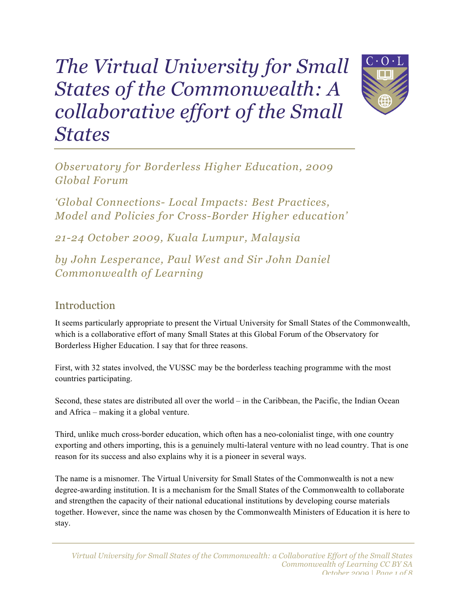# *The Virtual University for Small States of the Commonwealth: A collaborative effort of the Small States*



*Observatory for Borderless Higher Education, 2009 Global Forum*

*'Global Connections- Local Impacts: Best Practices, Model and Policies for Cross-Border Higher education'*

*21-24 October 2009, Kuala Lumpur, Malaysia*

*by John Lesperance, Paul West and Sir John Daniel Commonwealth of Learning*

## **Introduction**

It seems particularly appropriate to present the Virtual University for Small States of the Commonwealth, which is a collaborative effort of many Small States at this Global Forum of the Observatory for Borderless Higher Education. I say that for three reasons.

First, with 32 states involved, the VUSSC may be the borderless teaching programme with the most countries participating.

Second, these states are distributed all over the world – in the Caribbean, the Pacific, the Indian Ocean and Africa – making it a global venture.

Third, unlike much cross-border education, which often has a neo-colonialist tinge, with one country exporting and others importing, this is a genuinely multi-lateral venture with no lead country. That is one reason for its success and also explains why it is a pioneer in several ways.

The name is a misnomer. The Virtual University for Small States of the Commonwealth is not a new degree-awarding institution. It is a mechanism for the Small States of the Commonwealth to collaborate and strengthen the capacity of their national educational institutions by developing course materials together. However, since the name was chosen by the Commonwealth Ministers of Education it is here to stay.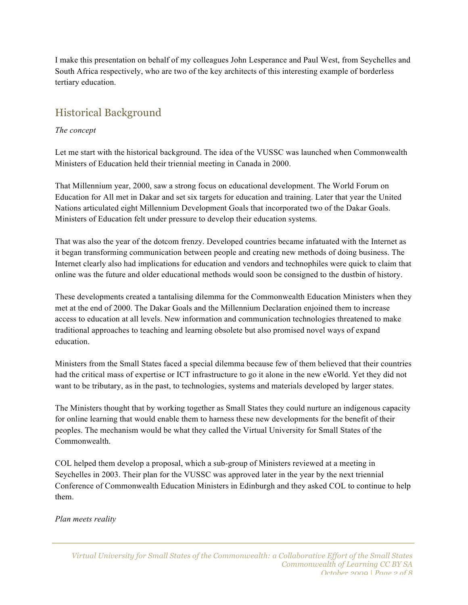I make this presentation on behalf of my colleagues John Lesperance and Paul West, from Seychelles and South Africa respectively, who are two of the key architects of this interesting example of borderless tertiary education.

## Historical Background

#### *The concept*

Let me start with the historical background. The idea of the VUSSC was launched when Commonwealth Ministers of Education held their triennial meeting in Canada in 2000.

That Millennium year, 2000, saw a strong focus on educational development. The World Forum on Education for All met in Dakar and set six targets for education and training. Later that year the United Nations articulated eight Millennium Development Goals that incorporated two of the Dakar Goals. Ministers of Education felt under pressure to develop their education systems.

That was also the year of the dotcom frenzy. Developed countries became infatuated with the Internet as it began transforming communication between people and creating new methods of doing business. The Internet clearly also had implications for education and vendors and technophiles were quick to claim that online was the future and older educational methods would soon be consigned to the dustbin of history.

These developments created a tantalising dilemma for the Commonwealth Education Ministers when they met at the end of 2000. The Dakar Goals and the Millennium Declaration enjoined them to increase access to education at all levels. New information and communication technologies threatened to make traditional approaches to teaching and learning obsolete but also promised novel ways of expand education.

Ministers from the Small States faced a special dilemma because few of them believed that their countries had the critical mass of expertise or ICT infrastructure to go it alone in the new eWorld. Yet they did not want to be tributary, as in the past, to technologies, systems and materials developed by larger states.

The Ministers thought that by working together as Small States they could nurture an indigenous capacity for online learning that would enable them to harness these new developments for the benefit of their peoples. The mechanism would be what they called the Virtual University for Small States of the Commonwealth.

COL helped them develop a proposal, which a sub-group of Ministers reviewed at a meeting in Seychelles in 2003. Their plan for the VUSSC was approved later in the year by the next triennial Conference of Commonwealth Education Ministers in Edinburgh and they asked COL to continue to help them.

*Plan meets reality*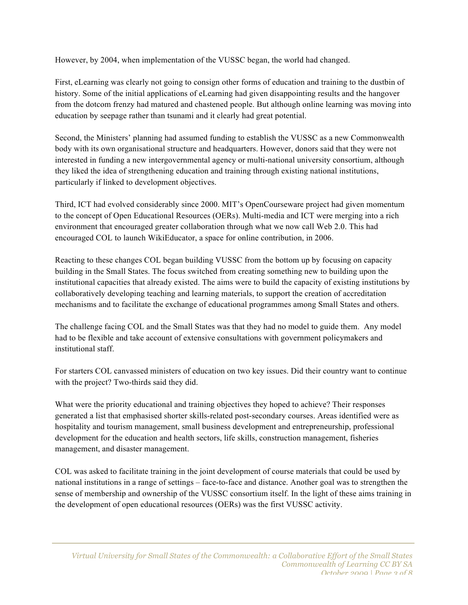However, by 2004, when implementation of the VUSSC began, the world had changed.

First, eLearning was clearly not going to consign other forms of education and training to the dustbin of history. Some of the initial applications of eLearning had given disappointing results and the hangover from the dotcom frenzy had matured and chastened people. But although online learning was moving into education by seepage rather than tsunami and it clearly had great potential.

Second, the Ministers' planning had assumed funding to establish the VUSSC as a new Commonwealth body with its own organisational structure and headquarters. However, donors said that they were not interested in funding a new intergovernmental agency or multi-national university consortium, although they liked the idea of strengthening education and training through existing national institutions, particularly if linked to development objectives.

Third, ICT had evolved considerably since 2000. MIT's OpenCourseware project had given momentum to the concept of Open Educational Resources (OERs). Multi-media and ICT were merging into a rich environment that encouraged greater collaboration through what we now call Web 2.0. This had encouraged COL to launch WikiEducator, a space for online contribution, in 2006.

Reacting to these changes COL began building VUSSC from the bottom up by focusing on capacity building in the Small States. The focus switched from creating something new to building upon the institutional capacities that already existed. The aims were to build the capacity of existing institutions by collaboratively developing teaching and learning materials, to support the creation of accreditation mechanisms and to facilitate the exchange of educational programmes among Small States and others.

The challenge facing COL and the Small States was that they had no model to guide them. Any model had to be flexible and take account of extensive consultations with government policymakers and institutional staff.

For starters COL canvassed ministers of education on two key issues. Did their country want to continue with the project? Two-thirds said they did.

What were the priority educational and training objectives they hoped to achieve? Their responses generated a list that emphasised shorter skills-related post-secondary courses. Areas identified were as hospitality and tourism management, small business development and entrepreneurship, professional development for the education and health sectors, life skills, construction management, fisheries management, and disaster management.

COL was asked to facilitate training in the joint development of course materials that could be used by national institutions in a range of settings – face-to-face and distance. Another goal was to strengthen the sense of membership and ownership of the VUSSC consortium itself. In the light of these aims training in the development of open educational resources (OERs) was the first VUSSC activity.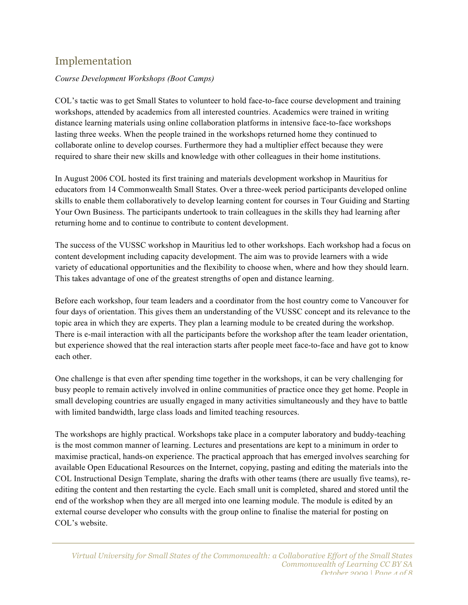### Implementation

#### *Course Development Workshops (Boot Camps)*

COL's tactic was to get Small States to volunteer to hold face-to-face course development and training workshops, attended by academics from all interested countries. Academics were trained in writing distance learning materials using online collaboration platforms in intensive face-to-face workshops lasting three weeks. When the people trained in the workshops returned home they continued to collaborate online to develop courses. Furthermore they had a multiplier effect because they were required to share their new skills and knowledge with other colleagues in their home institutions.

In August 2006 COL hosted its first training and materials development workshop in Mauritius for educators from 14 Commonwealth Small States. Over a three-week period participants developed online skills to enable them collaboratively to develop learning content for courses in Tour Guiding and Starting Your Own Business. The participants undertook to train colleagues in the skills they had learning after returning home and to continue to contribute to content development.

The success of the VUSSC workshop in Mauritius led to other workshops. Each workshop had a focus on content development including capacity development. The aim was to provide learners with a wide variety of educational opportunities and the flexibility to choose when, where and how they should learn. This takes advantage of one of the greatest strengths of open and distance learning.

Before each workshop, four team leaders and a coordinator from the host country come to Vancouver for four days of orientation. This gives them an understanding of the VUSSC concept and its relevance to the topic area in which they are experts. They plan a learning module to be created during the workshop. There is e-mail interaction with all the participants before the workshop after the team leader orientation, but experience showed that the real interaction starts after people meet face-to-face and have got to know each other.

One challenge is that even after spending time together in the workshops, it can be very challenging for busy people to remain actively involved in online communities of practice once they get home. People in small developing countries are usually engaged in many activities simultaneously and they have to battle with limited bandwidth, large class loads and limited teaching resources.

The workshops are highly practical. Workshops take place in a computer laboratory and buddy-teaching is the most common manner of learning. Lectures and presentations are kept to a minimum in order to maximise practical, hands-on experience. The practical approach that has emerged involves searching for available Open Educational Resources on the Internet, copying, pasting and editing the materials into the COL Instructional Design Template, sharing the drafts with other teams (there are usually five teams), reediting the content and then restarting the cycle. Each small unit is completed, shared and stored until the end of the workshop when they are all merged into one learning module. The module is edited by an external course developer who consults with the group online to finalise the material for posting on COL's website.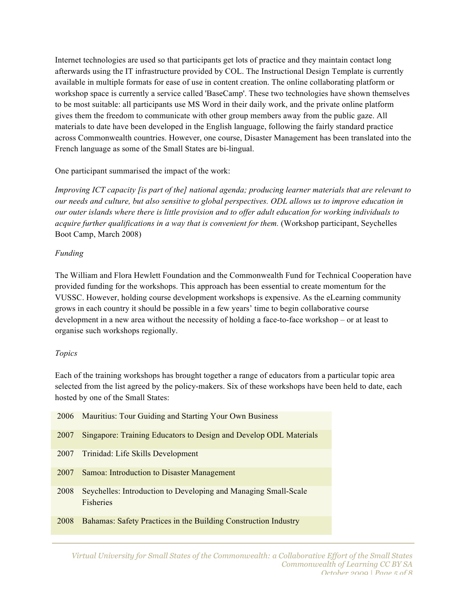Internet technologies are used so that participants get lots of practice and they maintain contact long afterwards using the IT infrastructure provided by COL. The Instructional Design Template is currently available in multiple formats for ease of use in content creation. The online collaborating platform or workshop space is currently a service called 'BaseCamp'. These two technologies have shown themselves to be most suitable: all participants use MS Word in their daily work, and the private online platform gives them the freedom to communicate with other group members away from the public gaze. All materials to date have been developed in the English language, following the fairly standard practice across Commonwealth countries. However, one course, Disaster Management has been translated into the French language as some of the Small States are bi-lingual.

One participant summarised the impact of the work:

*Improving ICT capacity [is part of the] national agenda; producing learner materials that are relevant to our needs and culture, but also sensitive to global perspectives. ODL allows us to improve education in our outer islands where there is little provision and to offer adult education for working individuals to acquire further qualifications in a way that is convenient for them.* (Workshop participant, Seychelles Boot Camp, March 2008)

#### *Funding*

The William and Flora Hewlett Foundation and the Commonwealth Fund for Technical Cooperation have provided funding for the workshops. This approach has been essential to create momentum for the VUSSC. However, holding course development workshops is expensive. As the eLearning community grows in each country it should be possible in a few years' time to begin collaborative course development in a new area without the necessity of holding a face-to-face workshop – or at least to organise such workshops regionally.

#### *Topics*

Each of the training workshops has brought together a range of educators from a particular topic area selected from the list agreed by the policy-makers. Six of these workshops have been held to date, each hosted by one of the Small States:

| 2006 | Mauritius: Tour Guiding and Starting Your Own Business                              |
|------|-------------------------------------------------------------------------------------|
| 2007 | Singapore: Training Educators to Design and Develop ODL Materials                   |
| 2007 | Trinidad: Life Skills Development                                                   |
| 2007 | Samoa: Introduction to Disaster Management                                          |
| 2008 | Seychelles: Introduction to Developing and Managing Small-Scale<br><b>Fisheries</b> |
| 2008 | Bahamas: Safety Practices in the Building Construction Industry                     |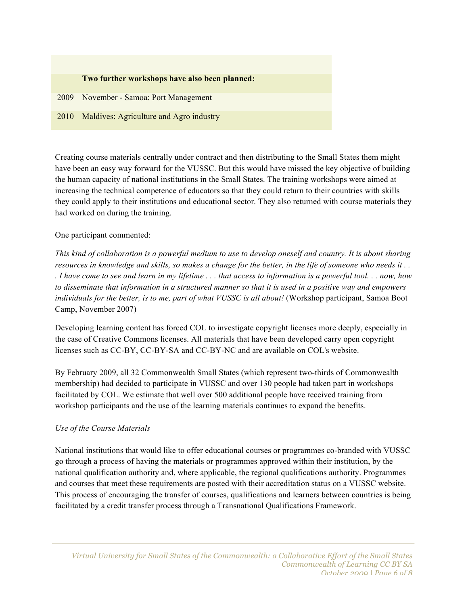

Creating course materials centrally under contract and then distributing to the Small States them might have been an easy way forward for the VUSSC. But this would have missed the key objective of building the human capacity of national institutions in the Small States. The training workshops were aimed at increasing the technical competence of educators so that they could return to their countries with skills they could apply to their institutions and educational sector. They also returned with course materials they had worked on during the training.

#### One participant commented:

*This kind of collaboration is a powerful medium to use to develop oneself and country. It is about sharing resources in knowledge and skills, so makes a change for the better, in the life of someone who needs it . . . I have come to see and learn in my lifetime . . . that access to information is a powerful tool. . . now, how to disseminate that information in a structured manner so that it is used in a positive way and empowers individuals for the better, is to me, part of what VUSSC is all about!* (Workshop participant, Samoa Boot Camp, November 2007)

Developing learning content has forced COL to investigate copyright licenses more deeply, especially in the case of Creative Commons licenses. All materials that have been developed carry open copyright licenses such as CC-BY, CC-BY-SA and CC-BY-NC and are available on COL's website.

By February 2009, all 32 Commonwealth Small States (which represent two-thirds of Commonwealth membership) had decided to participate in VUSSC and over 130 people had taken part in workshops facilitated by COL. We estimate that well over 500 additional people have received training from workshop participants and the use of the learning materials continues to expand the benefits.

#### *Use of the Course Materials*

National institutions that would like to offer educational courses or programmes co-branded with VUSSC go through a process of having the materials or programmes approved within their institution, by the national qualification authority and, where applicable, the regional qualifications authority. Programmes and courses that meet these requirements are posted with their accreditation status on a VUSSC website. This process of encouraging the transfer of courses, qualifications and learners between countries is being facilitated by a credit transfer process through a Transnational Qualifications Framework.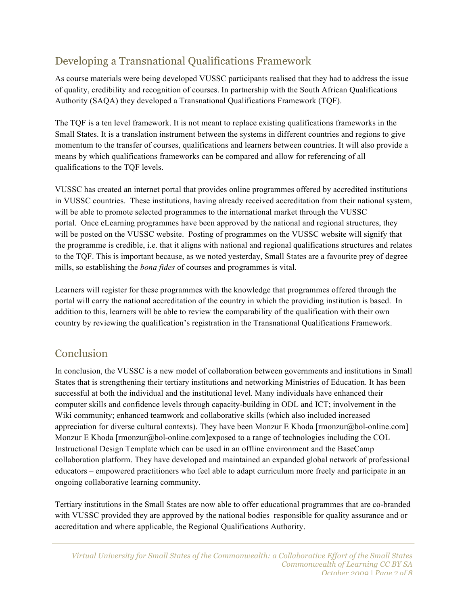## Developing a Transnational Qualifications Framework

As course materials were being developed VUSSC participants realised that they had to address the issue of quality, credibility and recognition of courses. In partnership with the South African Qualifications Authority (SAQA) they developed a Transnational Qualifications Framework (TQF).

The TQF is a ten level framework. It is not meant to replace existing qualifications frameworks in the Small States. It is a translation instrument between the systems in different countries and regions to give momentum to the transfer of courses, qualifications and learners between countries. It will also provide a means by which qualifications frameworks can be compared and allow for referencing of all qualifications to the TQF levels.

VUSSC has created an internet portal that provides online programmes offered by accredited institutions in VUSSC countries. These institutions, having already received accreditation from their national system, will be able to promote selected programmes to the international market through the VUSSC portal. Once eLearning programmes have been approved by the national and regional structures, they will be posted on the VUSSC website. Posting of programmes on the VUSSC website will signify that the programme is credible, i.e. that it aligns with national and regional qualifications structures and relates to the TQF. This is important because, as we noted yesterday, Small States are a favourite prey of degree mills, so establishing the *bona fides* of courses and programmes is vital.

Learners will register for these programmes with the knowledge that programmes offered through the portal will carry the national accreditation of the country in which the providing institution is based. In addition to this, learners will be able to review the comparability of the qualification with their own country by reviewing the qualification's registration in the Transnational Qualifications Framework.

## Conclusion

In conclusion, the VUSSC is a new model of collaboration between governments and institutions in Small States that is strengthening their tertiary institutions and networking Ministries of Education. It has been successful at both the individual and the institutional level. Many individuals have enhanced their computer skills and confidence levels through capacity-building in ODL and ICT; involvement in the Wiki community; enhanced teamwork and collaborative skills (which also included increased appreciation for diverse cultural contexts). They have been Monzur E Khoda [rmonzur@bol-online.com] Monzur E Khoda [rmonzur@bol-online.com]exposed to a range of technologies including the COL Instructional Design Template which can be used in an offline environment and the BaseCamp collaboration platform. They have developed and maintained an expanded global network of professional educators – empowered practitioners who feel able to adapt curriculum more freely and participate in an ongoing collaborative learning community.

Tertiary institutions in the Small States are now able to offer educational programmes that are co-branded with VUSSC provided they are approved by the national bodies responsible for quality assurance and or accreditation and where applicable, the Regional Qualifications Authority.